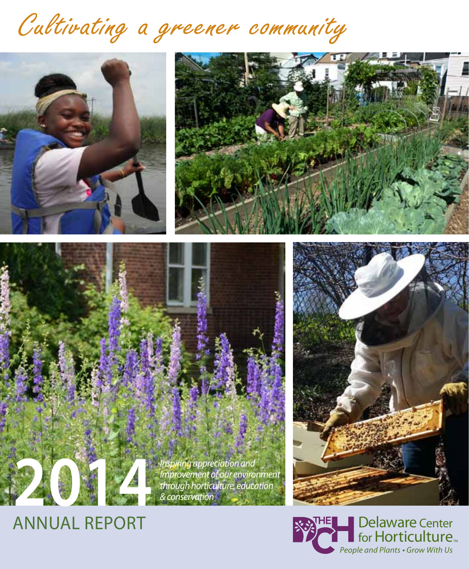# Cultivating a greener community









### ANNUAL REPORT

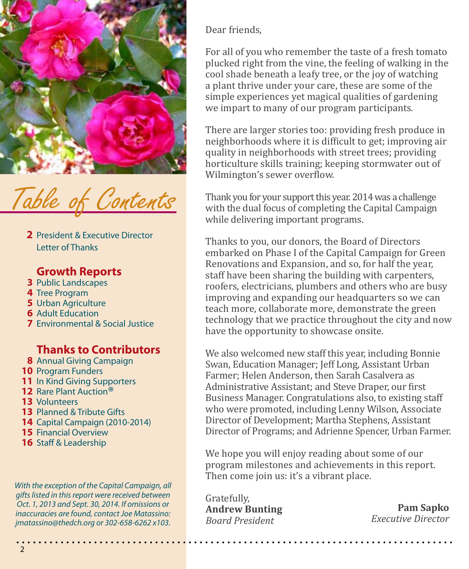

f Contents

2 President & Executive Director Letter of Thanks

#### **Growth Reports**

- **3** Public Landscapes
- 4 Tree Program
- **5** Urban Agriculture
- **6** Adult Education
- Environmental & Social Justice **7**

#### **Thanks to Contributors**

- **8** Annual Giving Campaign
- 10 Program Funders
- 11 In Kind Giving Supporters
- 12 Rare Plant Auction<sup>®</sup>
- 13 Volunteers
- 13 Planned & Tribute Gifts
- 14 Capital Campaign (2010-2014)
- 15 Financial Overview
- 16 Staff & Leadership

*With the exception of the Capital Campaign, all gifts listed in this report were received between Oct. 1, 2013 and Sept. 30, 2014. If omissions or inaccuracies are found, contact Joe Matassino: jmatassino@thedch.org or 302-658-6262 x103.*

Dear friends,

For all of you who remember the taste of a fresh tomato plucked right from the vine, the feeling of walking in the cool shade beneath a leafy tree, or the joy of watching a plant thrive under your care, these are some of the simple experiences yet magical qualities of gardening we impart to many of our program participants.

There are larger stories too: providing fresh produce in neighborhoods where it is difficult to get; improving air quality in neighborhoods with street trees; providing horticulture skills training; keeping stormwater out of Wilmington's sewer overflow.

Thank you for your support this year. 2014 was a challenge with the dual focus of completing the Capital Campaign while delivering important programs.

Thanks to you, our donors, the Board of Directors embarked on Phase I of the Capital Campaign for Green Renovations and Expansion, and so, for half the year, staff have been sharing the building with carpenters, roofers, electricians, plumbers and others who are busy improving and expanding our headquarters so we can teach more, collaborate more, demonstrate the green technology that we practice throughout the city and now have the opportunity to showcase onsite.

We also welcomed new staff this year, including Bonnie Swan, Education Manager; Jeff Long, Assistant Urban Farmer; Helen Anderson, then Sarah Casalvera as Administrative Assistant; and Steve Draper, our first Business Manager. Congratulations also, to existing staff who were promoted, including Lenny Wilson, Associate Director of Development; Martha Stephens, Assistant Director of Programs; and Adrienne Spencer, Urban Farmer.

We hope you will enjoy reading about some of our program milestones and achievements in this report. Then come join us: it's a vibrant place.

Gratefully, **Andrew Bunting** *Board President* 

**Pam Sapko** *Executive Director*

2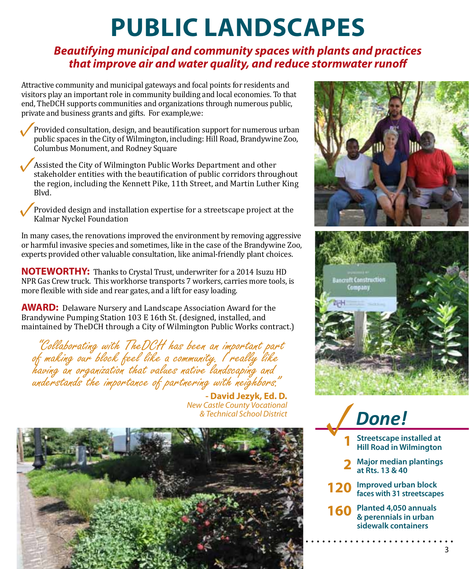### **PUBLIC LANDSCAPES**

#### *Beautifying municipal and community spaces with plants and practices that improve air and water quality, and reduce stormwater runoff*

Attractive community and municipal gateways and focal points for residents and visitors play an important role in community building and local economies. To that end, TheDCH supports communities and organizations through numerous public, private and business grants and gifts. For example,we:

Provided consultation, design, and beautification support for numerous urban public spaces in the City of Wilmington, including: Hill Road, Brandywine Zoo, Columbus Monument, and Rodney Square **✓**

Assisted the City of Wilmington Public Works Department and other stakeholder entities with the beautification of public corridors throughout the region, including the Kennett Pike, 11th Street, and Martin Luther King Blvd. **✓**

Provided design and installation expertise for a streetscape project at the Kalmar Nyckel Foundation **✓**

In many cases, the renovations improved the environment by removing aggressive or harmful invasive species and sometimes, like in the case of the Brandywine Zoo, experts provided other valuable consultation, like animal-friendly plant choices.

**NOTEWORTHY:** Thanks to Crystal Trust, underwriter for a 2014 Isuzu HD NPR Gas Crew truck. This workhorse transports 7 workers, carries more tools, is more flexible with side and rear gates, and a lift for easy loading.

**AWARD:** Delaware Nursery and Landscape Association Award for the Brandywine Pumping Station 103 E 16th St. (designed, installed, and maintained by TheDCH through a City of Wilmington Public Works contract.)

 "Collaborating with TheDCH has been an important part of making our block feel like a community. I really like having an organization that values native landscaping and understands the importance of partnering with neighbors."

> **- David Jezyk, Ed. D.**  *New Castle County Vocational & Technical School District*







- **1 Streetscape installed at Hill Road in Wilmington**
- **2 Major median plantings at Rts. 13 & 40**
- **120** Improved urban block **faces with 31 streetscapes**
- **160** Planted 4,050 annuals **& perennials in urban sidewalk containers**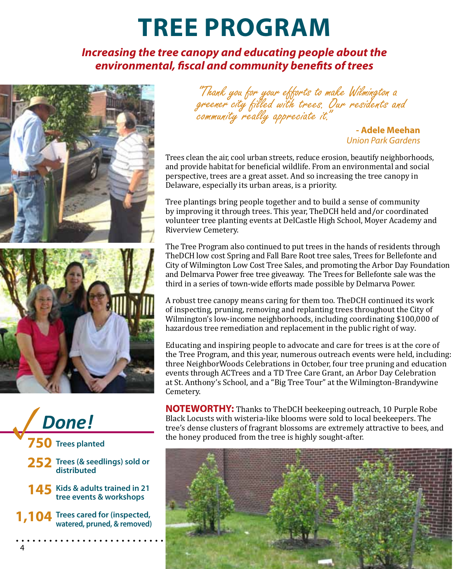### **TREE PROGRAM**

#### *Increasing the tree canopy and educating people about the environmental, fiscal and community benefits of trees*









- 252 Trees (& seedlings) sold or **distributed**
- 145 Kids & adults trained in 21 **tree events & workshops**
- **Trees cared for (inspected, 1,104** Trees cared for (inspected, watered, pruned, & removed)

"Thank you for your efforts to make Wilmington a greener city filled with trees. Our residents and<br>community really appreciate it."

**- Adele Meehan**  *Union Park Gardens*

Trees clean the air, cool urban streets, reduce erosion, beautify neighborhoods, and provide habitat for beneficial wildlife. From an environmental and social perspective, trees are a great asset. And so increasing the tree canopy in Delaware, especially its urban areas, is a priority.

Tree plantings bring people together and to build a sense of community by improving it through trees. This year, TheDCH held and/or coordinated volunteer tree planting events at DelCastle High School, Moyer Academy and Riverview Cemetery.

The Tree Program also continued to put trees in the hands of residents through TheDCH low cost Spring and Fall Bare Root tree sales, Trees for Bellefonte and City of Wilmington Low Cost Tree Sales, and promoting the Arbor Day Foundation and Delmarva Power free tree giveaway. The Trees for Bellefonte sale was the third in a series of town-wide efforts made possible by Delmarva Power.

A robust tree canopy means caring for them too. TheDCH continued its work of inspecting, pruning, removing and replanting trees throughout the City of Wilmington's low-income neighborhoods, including coordinating \$100,000 of hazardous tree remediation and replacement in the public right of way.

Educating and inspiring people to advocate and care for trees is at the core of the Tree Program, and this year, numerous outreach events were held, including: three NeighborWoods Celebrations in October, four tree pruning and education events through ACTrees and a TD Tree Care Grant, an Arbor Day Celebration at St. Anthony's School, and a "Big Tree Tour" at the Wilmington-Brandywine Cemetery.

**NOTEWORTHY:** Thanks to TheDCH beekeeping outreach, 10 Purple Robe Black Locusts with wisteria-like blooms were sold to local beekeepers. The tree's dense clusters of fragrant blossoms are extremely attractive to bees, and **behavior the honey produced** from the tree is highly sought-after.

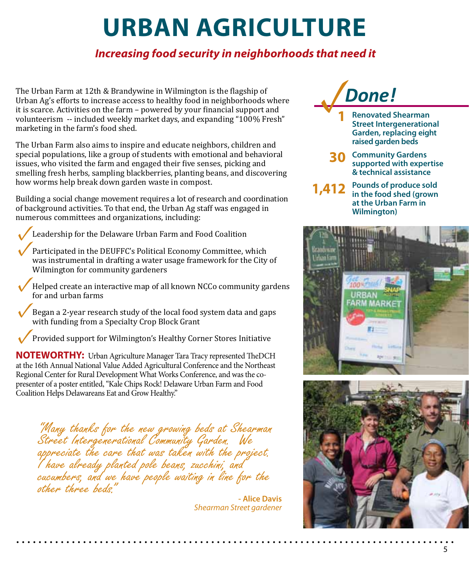## **URBAN AGRICULTURE**

### *Increasing food security in neighborhoods that need it*

The Urban Farm at 12th & Brandywine in Wilmington is the flagship of<br>
Urban Ag's efforts to increase access to healthy food in neighborhoods where<br>
it is scarce. Activities on the farm – powered by your financial support a Urban Ag's efforts to increase access to healthy food in neighborhoods where volunteerism -- included weekly market days, and expanding "100% Fresh" marketing in the farm's food shed.

The Urban Farm also aims to inspire and educate neighbors, children and special populations, like a group of students with emotional and behavioral issues, who visited the farm and engaged their five senses, picking and smelling fresh herbs, sampling blackberries, planting beans, and discovering how worms help break down garden waste in compost.

Building a social change movement requires a lot of research and coordination of background activities. To that end, the Urban Ag staff was engaged in numerous committees and organizations, including:

Leadership for the Delaware Urban Farm and Food Coalition **✓**

- Participated in the DEUFFC's Political Economy Committee, which was instrumental in drafting a water usage framework for the City of Wilmington for community gardeners **✓**
- Helped create an interactive map of all known NCCo community gardens for and urban farms **✓**
- Began a 2-year research study of the local food system data and gaps with funding from a Specialty Crop Block Grant **✓**
- Provided support for Wilmington's Healthy Corner Stores Initiative **✓**

**NOTEWORTHY:** Urban Agriculture Manager Tara Tracy represented TheDCH at the 16th Annual National Value Added Agricultural Conference and the Northeast Regional Center for Rural Development What Works Conference, and was the copresenter of a poster entitled, "Kale Chips Rock! Delaware Urban Farm and Food Coalition Helps Delawareans Eat and Grow Healthy."

"Many thanks for the new growing beds at Shearman Street Intergenerational Community Garden. We appreciate the care that was taken with the project. I have already planted pole beans, zucchini, and cucumbers, and we have people waiting in line for the other three beds."

> **- Alice Davis**  *Shearman Street gardener*



- **Renovated Shearman Street Intergenerational Garden, replacing eight raised garden beds 1**
- **30** Community Gardens<br>
supported with exper **supported with expertise & technical assistance**
- **Pounds of produce sold in the food shed (grown at the Urban Farm in Wilmington) 1,412**



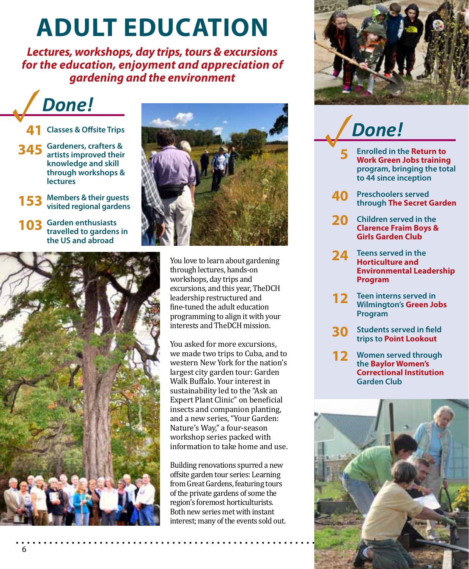### **ADULT EDUCATION**

*Lectures, workshops, day trips, tours & excursions for the education, enjoyment and appreciation of gardening and the environment*

**✓***Done!*

- **41 Classes & Offsite Trips**
- **345 Gardeners, crafters & artists improved their knowledge and skill through workshops & lectures**
- **153 Members & their guests visited regional gardens**
- **103 Garden enthusiasts travelled to gardens in the US and abroad**





You love to learn about gardening through lectures, hands-on workshops, day trips and excursions, and this year, TheDCH leadership restructured and fine-tuned the adult education programming to align it with your interests and TheDCH mission.

You asked for more excursions, we made two trips to Cuba, and to western New York for the nation's largest city garden tour: Garden Walk Buffalo. Your interest in sustainability led to the "Ask an Expert Plant Clinic" on beneficial insects and companion planting, and a new series, "Your Garden: Nature's Way," a four-season workshop series packed with information to take home and use.

Building renovations spurred a new offsite garden tour series: Learning from Great Gardens, featuring tours of the private gardens of some the region's foremost horticulturists. Both new series met with instant interest; many of the events sold out.

. . . . . . . .



### **✓***Done!*

- **5 Enrolled in the Return to Work Green Jobs training program, bringing the total to 44 since inception**
- **40 Preschoolers served through The Secret Garden**
- **20 Children served in the Clarence Fraim Boys & Girls Garden Club**
- **24 Teens served in the Horticulture and Environmental Leadership Program**
- **12 Teen interns served in Wilmington's Green Jobs Program**
- **30 Students served in field trips to Point Lookout**
- **12 Women served through the Baylor Women's Correctional Institution Garden Club**

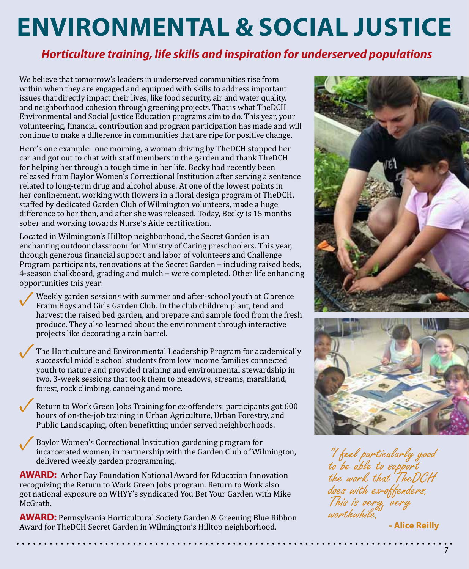## **ENVIRONMENTAL & SOCIAL JUSTICE**

### *Horticulture training, life skills and inspiration for underserved populations*

We believe that tomorrow's leaders in underserved communities rise from within when they are engaged and equipped with skills to address important issues that directly impact their lives, like food security, air and water quality, and neighborhood cohesion through greening projects. That is what TheDCH Environmental and Social Justice Education programs aim to do. This year, your volunteering, financial contribution and program participation has made and will continue to make a difference in communities that are ripe for positive change.

Here's one example: one morning, a woman driving by TheDCH stopped her car and got out to chat with staff members in the garden and thank TheDCH for helping her through a tough time in her life. Becky had recently been released from Baylor Women's Correctional Institution after serving a sentence related to long-term drug and alcohol abuse. At one of the lowest points in her confinement, working with flowers in a floral design program of TheDCH, staffed by dedicated Garden Club of Wilmington volunteers, made a huge difference to her then, and after she was released. Today, Becky is 15 months sober and working towards Nurse's Aide certification.

Located in Wilmington's Hilltop neighborhood, the Secret Garden is an enchanting outdoor classroom for Ministry of Caring preschoolers. This year, through generous financial support and labor of volunteers and Challenge Program participants, renovations at the Secret Garden – including raised beds, 4-season chalkboard, grading and mulch – were completed. Other life enhancing opportunities this year:

Weekly garden sessions with summer and after-school youth at Clarence Fraim Boys and Girls Garden Club. In the club children plant, tend and harvest the raised bed garden, and prepare and sample food from the fresh produce. They also learned about the environment through interactive projects like decorating a rain barrel. **✓**

The Horticulture and Environmental Leadership Program for academically successful middle school students from low income families connected youth to nature and provided training and environmental stewardship in two, 3-week sessions that took them to meadows, streams, marshland, forest, rock climbing, canoeing and more. **✓**

Return to Work Green Jobs Training for ex-offenders: participants got 600 hours of on-the-job training in Urban Agriculture, Urban Forestry, and Public Landscaping, often benefitting under served neighborhoods. **✓**

Baylor Women's Correctional Institution gardening program for incarcerated women, in partnership with the Garden Club of Wilmington, delivered weekly garden programming. **✓**

**AWARD:** Arbor Day Foundation National Award for Education Innovation recognizing the Return to Work Green Jobs program. Return to Work also got national exposure on WHYY's syndicated You Bet Your Garden with Mike McGrath.

**AWARD:** Pennsylvania Horticultural Society Garden & Greening Blue Ribbon Award for TheDCH Secret Garden in Wilmington's Hilltop neighborhood.

 $\ddotsc$ 

. . . . . . . . . .





"I feel particularly good to be able to support the work that TheDCH does with ex-offenders. This is very, very worthwhile<sup>"</sup>

**- Alice Reilly**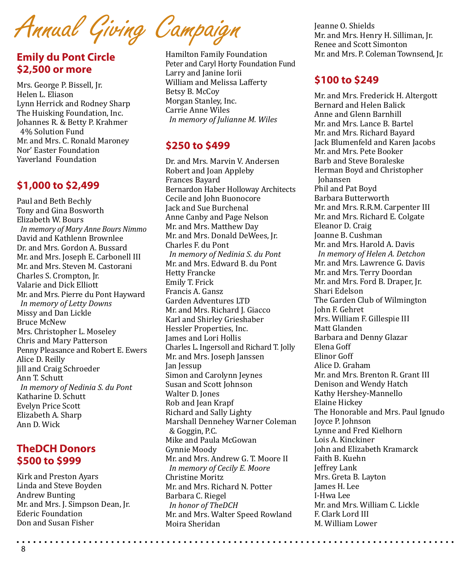Annual Giving Campaign

#### **Emily du Pont Circle \$2,500 or more**

Mrs. George P. Bissell, Jr. Helen L. Eliason Lynn Herrick and Rodney Sharp The Huisking Foundation, Inc. Johannes R. & Betty P. Krahmer 4% Solution Fund Mr. and Mrs. C. Ronald Maroney Nor' Easter Foundation Yaverland Foundation

#### **\$1,000 to \$2,499**

Paul and Beth Bechly Tony and Gina Bosworth Elizabeth W. Bours *In memory of Mary Anne Bours Nimmo* David and Kathlenn Brownlee Dr. and Mrs. Gordon A. Bussard Mr. and Mrs. Joseph E. Carbonell III Mr. and Mrs. Steven M. Castorani Charles S. Crompton, Jr. Valarie and Dick Elliott Mr. and Mrs. Pierre du Pont Hayward *In memory of Letty Downs* Missy and Dan Lickle Bruce McNew Mrs. Christopher L. Moseley Chris and Mary Patterson Penny Pleasance and Robert E. Ewers Alice D. Reilly Jill and Craig Schroeder Ann T. Schutt *In memory of Nedinia S. du Pont* Katharine D. Schutt Evelyn Price Scott Elizabeth A. Sharp Ann D. Wick

#### **TheDCH Donors \$500 to \$999**

Kirk and Preston Ayars Linda and Steve Boyden Andrew Bunting Mr. and Mrs. J. Simpson Dean, Jr. Ederic Foundation Don and Susan Fisher

Hamilton Family Foundation Peter and Caryl Horty Foundation Fund Larry and Janine Iorii William and Melissa Lafferty Betsy B. McCoy Morgan Stanley, Inc. Carrie Anne Wiles *In memory of Julianne M. Wiles*

#### **\$250 to \$499**

Dr. and Mrs. Marvin V. Andersen Robert and Joan Appleby Frances Bayard Bernardon Haber Holloway Architects Cecile and John Buonocore Jack and Sue Burchenal Anne Canby and Page Nelson Mr. and Mrs. Matthew Day Mr. and Mrs. Donald DeWees, Jr. Charles F. du Pont *In memory of Nedinia S. du Pont* Mr. and Mrs. Edward B. du Pont Hetty Francke Emily T. Frick Francis A. Gansz Garden Adventures LTD Mr. and Mrs. Richard J. Giacco Karl and Shirley Grieshaber Hessler Properties, Inc. James and Lori Hollis Charles L. Ingersoll and Richard T. Jolly Mr. and Mrs. Joseph Janssen Jan Jessup Simon and Carolynn Jeynes Susan and Scott Johnson Walter D. Jones Rob and Jean Krapf Richard and Sally Lighty Marshall Dennehey Warner Coleman & Goggin, P.C. Mike and Paula McGowan Gynnie Moody Mr. and Mrs. Andrew G. T. Moore II *In memory of Cecily E. Moore* Christine Moritz Mr. and Mrs. Richard N. Potter Barbara C. Riegel *In honor of TheDCH* Mr. and Mrs. Walter Speed Rowland Moira Sheridan

Jeanne O. Shields Mr. and Mrs. Henry H. Silliman, Jr. Renee and Scott Simonton Mr. and Mrs. P. Coleman Townsend, Jr.

#### **\$100 to \$249**

Mr. and Mrs. Frederick H. Altergott Bernard and Helen Balick Anne and Glenn Barnhill Mr. and Mrs. Lance B. Bartel Mr. and Mrs. Richard Bayard Jack Blumenfeld and Karen Jacobs Mr. and Mrs. Pete Booker Barb and Steve Boraleske Herman Boyd and Christopher Johansen Phil and Pat Boyd Barbara Butterworth Mr. and Mrs. R.R.M. Carpenter III Mr. and Mrs. Richard E. Colgate Eleanor D. Craig Joanne B. Cushman Mr. and Mrs. Harold A. Davis *In memory of Helen A. Detchon* Mr. and Mrs. Lawrence G. Davis Mr. and Mrs. Terry Doordan Mr. and Mrs. Ford B. Draper, Jr. Shari Edelson The Garden Club of Wilmington John F. Gehret Mrs. William F. Gillespie III Matt Glanden Barbara and Denny Glazar Elena Goff Elinor Goff Alice D. Graham Mr. and Mrs. Brenton R. Grant III Denison and Wendy Hatch Kathy Hershey-Mannello Elaine Hickey The Honorable and Mrs. Paul Ignudo Joyce P. Johnson Lynne and Fred Kielhorn Lois A. Kinckiner John and Elizabeth Kramarck Faith B. Kuehn Jeffrey Lank Mrs. Greta B. Layton James H. Lee I-Hwa Lee Mr. and Mrs. William C. Lickle F. Clark Lord III M. William Lower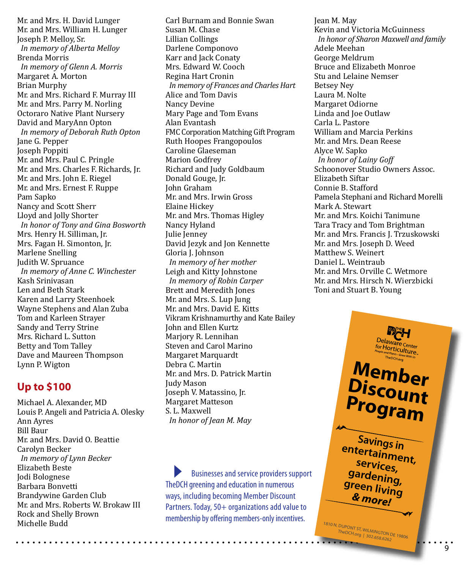Mr. and Mrs. H. David Lunger Mr. and Mrs. William H. Lunger Joseph P. Melloy, Sr. *In memory of Alberta Melloy* Brenda Morris *In memory of Glenn A. Morris* Margaret A. Morton Brian Murphy Mr. and Mrs. Richard F. Murray III Mr. and Mrs. Parry M. Norling Octoraro Native Plant Nursery David and MaryAnn Opton *In memory of Deborah Ruth Opton* Jane G. Pepper Joseph Poppiti Mr. and Mrs. Paul C. Pringle Mr. and Mrs. Charles F. Richards, Jr. Mr. and Mrs. John E. Riegel Mr. and Mrs. Ernest F. Ruppe Pam Sapko Nancy and Scott Sherr Lloyd and Jolly Shorter *In honor of Tony and Gina Bosworth* Mrs. Henry H. Silliman, Jr. Mrs. Fagan H. Simonton, Jr. Marlene Snelling Judith W. Spruance *In memory of Anne C. Winchester* Kash Srinivasan Len and Beth Stark Karen and Larry Steenhoek Wayne Stephens and Alan Zuba Tom and Karleen Strayer Sandy and Terry Strine Mrs. Richard L. Sutton Betty and Tom Talley Dave and Maureen Thompson Lynn P. Wigton

#### **Up to \$100**

Michael A. Alexander, MD Louis P. Angeli and Patricia A. Olesky Ann Ayres Bill Baur Mr. and Mrs. David O. Beattie Carolyn Becker *In memory of Lynn Becker* Elizabeth Beste Jodi Bolognese Barbara Bonvetti Brandywine Garden Club Mr. and Mrs. Roberts W. Brokaw III Rock and Shelly Brown Michelle Budd

Carl Burnam and Bonnie Swan Susan M. Chase Lillian Collings Darlene Componovo Karr and Jack Conaty Mrs. Edward W. Cooch Regina Hart Cronin *In memory of Frances and Charles Hart* Alice and Tom Davis Nancy Devine Mary Page and Tom Evans Alan Evantash FMC Corporation Matching Gift Program Ruth Hoopes Frangopoulos Caroline Glaeseman Marion Godfrey Richard and Judy Goldbaum Donald Gouge, Jr. John Graham Mr. and Mrs. Irwin Gross Elaine Hickey Mr. and Mrs. Thomas Higley Nancy Hyland Julie Jenney David Jezyk and Jon Kennette Gloria J. Johnson *In memory of her mother* Leigh and Kitty Johnstone *In memory of Robin Carper* Brett and Meredith Jones Mr. and Mrs. S. Lup Jung Mr. and Mrs. David E. Kitts Vikram Krishnamurthy and Kate Bailey John and Ellen Kurtz Marjory R. Lennihan Steven and Carol Marino Margaret Marquardt Debra C. Martin Mr. and Mrs. D. Patrick Martin Judy Mason Joseph V. Matassino, Jr. Margaret Matteson S. L. Maxwell *In honor of Jean M. May*

Businesses and service providers support TheDCH greening and education in numerous ways, including becoming Member Discount Partners. Today, 50+ organizations add value to membership by offering members-only incentives.

Jean M. May Kevin and Victoria McGuinness *In honor of Sharon Maxwell and family* Adele Meehan George Meldrum Bruce and Elizabeth Monroe Stu and Lelaine Nemser Betsey Ney Laura M. Nolte Margaret Odiorne Linda and Joe Outlaw Carla L. Pastore William and Marcia Perkins Mr. and Mrs. Dean Reese Alyce W. Sapko *In honor of Lainy Goff* Schoonover Studio Owners Assoc. Elizabeth Siftar Connie B. Stafford Pamela Stephani and Richard Morelli Mark A. Stewart Mr. and Mrs. Koichi Tanimune Tara Tracy and Tom Brightman Mr. and Mrs. Francis J. Trzuskowski Mr. and Mrs. Joseph D. Weed Matthew S. Weinert Daniel L. Weintraub Mr. and Mrs. Orville C. Wetmore Mr. and Mrs. Hirsch N. Wierzbicki Toni and Stuart B. Young

> **Member Discount Program Savings in entertainment, services, gardening, green living**

Delaware Center<br>for Horticulture

*& more!*

1810 N. DUPONT ST, WILMINGTON DE 19806<br>TheDCH.org | 302.658.6262

9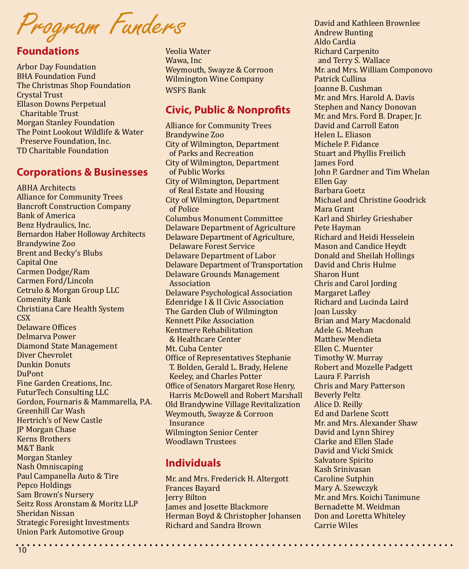Program Funders

#### **Foundations**

Arbor Day Foundation BHA Foundation Fund The Christmas Shop Foundation Crystal Trust Ellason Downs Perpetual Charitable Trust Morgan Stanley Foundation The Point Lookout Wildlife & Water Preserve Foundation, Inc. TD Charitable Foundation

#### **Corporations & Businesses**

ABHA Architects Alliance for Community Trees Bancroft Construction Company Bank of America Benz Hydraulics, Inc. Bernardon Haber Holloway Architects Brandywine Zoo Brent and Becky's Blubs Capital One Carmen Dodge/Ram Carmen Ford/Lincoln Cetrulo & Morgan Group LLC Comenity Bank Christiana Care Health System C<sub>SX</sub> Delaware Offices Delmarva Power Diamond State Management Diver Chevrolet Dunkin Donuts DuPont Fine Garden Creations, Inc. FuturTech Consulting LLC Gordon, Fournaris & Mammarella, P.A. Greenhill Car Wash Hertrich's of New Castle JP Morgan Chase Kerns Brothers M&T Bank Morgan Stanley Nash Omniscaping Paul Campanella Auto & Tire Pepco Holdings Sam Brown's Nursery Seitz Ross Aronstam & Moritz LLP Sheridan Nissan Strategic Foresight Investments Union Park Automotive Group

Veolia Water Wawa, Inc Weymouth, Swayze & Corroon Wilmington Wine Company WSFS Bank

#### **Civic, Public & Nonprofits**

Alliance for Community Trees Brandywine Zoo City of Wilmington, Department of Parks and Recreation City of Wilmington, Department of Public Works City of Wilmington, Department of Real Estate and Housing City of Wilmington, Department of Police Columbus Monument Committee Delaware Department of Agriculture Delaware Department of Agriculture, Delaware Forest Service Delaware Department of Labor Delaware Department of Transportation Delaware Grounds Management Association Delaware Psychological Association Edenridge I & II Civic Association The Garden Club of Wilmington Kennett Pike Association Kentmere Rehabilitation & Healthcare Center Mt. Cuba Center Office of Representatives Stephanie T. Bolden, Gerald L. Brady, Helene Keeley, and Charles Potter Office of Senators Margaret Rose Henry, Harris McDowell and Robert Marshall Old Brandywine Village Revitalization Weymouth, Swayze & Corroon Insurance Wilmington Senior Center Woodlawn Trustees

#### **Individuals**

Mr. and Mrs. Frederick H. Altergott Frances Bayard Jerry Bilton James and Josette Blackmore Herman Boyd & Christopher Johansen Richard and Sandra Brown

David and Kathleen Brownlee Andrew Bunting Aldo Cardia Richard Carpenito and Terry S. Wallace Mr. and Mrs. William Componovo Patrick Cullina Joanne B. Cushman Mr. and Mrs. Harold A. Davis Stephen and Nancy Donovan Mr. and Mrs. Ford B. Draper, Jr. David and Carroll Eaton Helen L. Eliason Michele P. Fidance Stuart and Phyllis Freilich James Ford John P. Gardner and Tim Whelan Ellen Gay Barbara Goetz Michael and Christine Goodrick Mara Grant Karl and Shirley Grieshaber Pete Hayman Richard and Heidi Hesselein Mason and Candice Heydt Donald and Sheilah Hollings David and Chris Hulme Sharon Hunt Chris and Carol Jording Margaret Lafley Richard and Lucinda Laird Joan Lussky Brian and Mary Macdonald Adele G. Meehan Matthew Mendieta Ellen C. Muenter Timothy W. Murray Robert and Mozelle Padgett Laura F. Parrish Chris and Mary Patterson Beverly Peltz Alice D. Reilly Ed and Darlene Scott Mr. and Mrs. Alexander Shaw David and Lynn Shirey Clarke and Ellen Slade David and Vicki Smick Salvatore Spirito Kash Srinivasan Caroline Sutphin Mary A. Szewczyk Mr. and Mrs. Koichi Tanimune Bernadette M. Weidman Don and Loretta Whiteley Carrie Wiles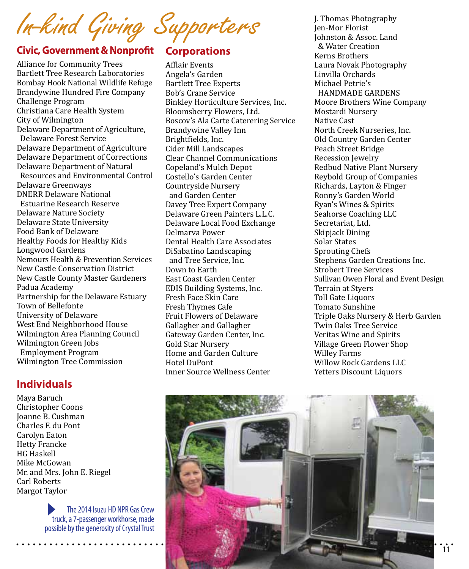In-kind Giving Supporters

#### **Civic, Government & Nonprofit Corporations**

Alliance for Community Trees Bartlett Tree Research Laboratories Bombay Hook National Wildlife Refuge Brandywine Hundred Fire Company Challenge Program Christiana Care Health System City of Wilmington Delaware Department of Agriculture, Delaware Forest Service Delaware Department of Agriculture Delaware Department of Corrections Delaware Department of Natural Resources and Environmental Control Delaware Greenways DNERR Delaware National Estuarine Research Reserve Delaware Nature Society Delaware State University Food Bank of Delaware Healthy Foods for Healthy Kids Longwood Gardens Nemours Health & Prevention Services New Castle Conservation District New Castle County Master Gardeners Padua Academy Partnership for the Delaware Estuary Town of Bellefonte University of Delaware West End Neighborhood House Wilmington Area Planning Council Wilmington Green Jobs Employment Program Wilmington Tree Commission

#### **Individuals**

Maya Baruch Christopher Coons Joanne B. Cushman Charles F. du Pont Carolyn Eaton Hetty Francke HG Haskell Mike McGowan Mr. and Mrs. John E. Riegel Carl Roberts Margot Taylor

> The 2014 Isuzu HD NPR Gas Crew truck, a 7-passenger workhorse, made possible by the generosity of Crystal Trust

Afflair Events Angela's Garden Bartlett Tree Experts Bob's Crane Service Binkley Horticulture Services, Inc. Bloomsberry Flowers, Ltd. Boscov's Ala Carte Caterering Service Brandywine Valley Inn Brightfields, Inc. Cider Mill Landscapes Clear Channel Communications Copeland's Mulch Depot Costello's Garden Center Countryside Nursery and Garden Center Davey Tree Expert Company Delaware Green Painters L.L.C. Delaware Local Food Exchange Delmarva Power Dental Health Care Associates DiSabatino Landscaping and Tree Service, Inc. Down to Earth East Coast Garden Center EDIS Building Systems, Inc. Fresh Face Skin Care Fresh Thymes Cafe Fruit Flowers of Delaware Gallagher and Gallagher Gateway Garden Center, Inc. Gold Star Nursery Home and Garden Culture Hotel DuPont Inner Source Wellness Center

J. Thomas Photography Jen-Mor Florist Johnston & Assoc. Land & Water Creation Kerns Brothers Laura Novak Photography Linvilla Orchards Michael Petrie's HANDMADE GARDENS Moore Brothers Wine Company Mostardi Nursery Native Cast North Creek Nurseries, Inc. Old Country Garden Center Peach Street Bridge Recession Jewelry Redbud Native Plant Nursery Reybold Group of Companies Richards, Layton & Finger Ronny's Garden World Ryan's Wines & Spirits Seahorse Coaching LLC Secretariat, Ltd. Skipjack Dining Solar States Sprouting Chefs Stephens Garden Creations Inc. Strobert Tree Services Sullivan Owen Floral and Event Design Terrain at Styers Toll Gate Liquors Tomato Sunshine Triple Oaks Nursery & Herb Garden Twin Oaks Tree Service Veritas Wine and Spirits Village Green Flower Shop Willey Farms Willow Rock Gardens LLC Yetters Discount Liquors

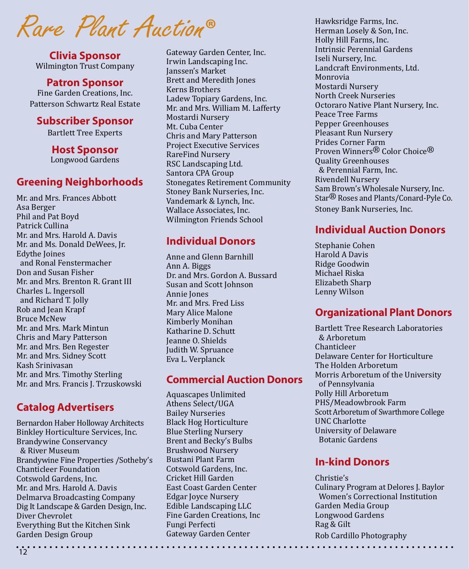Rare Plant Auction**®**

**Clivia Sponsor** Wilmington Trust Company

#### **Patron Sponsor**

Fine Garden Creations, Inc. Patterson Schwartz Real Estate

#### **Subscriber Sponsor**

Bartlett Tree Experts

**Host Sponsor** Longwood Gardens

#### **Greening Neighborhoods**

Mr. and Mrs. Frances Abbott Asa Berger Phil and Pat Boyd Patrick Cullina Mr. and Mrs. Harold A. Davis Mr. and Ms. Donald DeWees, Jr. Edythe Joines and Ronal Fenstermacher Don and Susan Fisher Mr. and Mrs. Brenton R. Grant III Charles L. Ingersoll and Richard T. Jolly Rob and Jean Krapf Bruce McNew Mr. and Mrs. Mark Mintun Chris and Mary Patterson Mr. and Mrs. Ben Regester Mr. and Mrs. Sidney Scott Kash Srinivasan Mr. and Mrs. Timothy Sterling Mr. and Mrs. Francis J. Trzuskowski

#### **Catalog Advertisers**

Bernardon Haber Holloway Architects Binkley Horticulture Services, Inc. Brandywine Conservancy & River Museum Brandywine Fine Properties /Sotheby's Chanticleer Foundation Cotswold Gardens, Inc. Mr. and Mrs. Harold A. Davis Delmarva Broadcasting Company Dig It Landscape & Garden Design, Inc. Diver Chevrolet Everything But the Kitchen Sink Garden Design Group

Gateway Garden Center, Inc. Irwin Landscaping Inc. Janssen's Market Brett and Meredith Jones Kerns Brothers Ladew Topiary Gardens, Inc. Mr. and Mrs. William M. Lafferty Mostardi Nursery Mt. Cuba Center Chris and Mary Patterson Project Executive Services RareFind Nursery RSC Landscaping Ltd. Santora CPA Group Stonegates Retirement Community Stoney Bank Nurseries, Inc. Vandemark & Lynch, Inc. Wallace Associates, Inc. Wilmington Friends School

#### **Individual Donors**

Anne and Glenn Barnhill Ann A. Biggs Dr. and Mrs. Gordon A. Bussard Susan and Scott Johnson Annie Jones Mr. and Mrs. Fred Liss Mary Alice Malone Kimberly Monihan Katharine D. Schutt Jeanne O. Shields Judith W. Spruance Eva L. Verplanck

#### **Commercial Auction Donors**

Aquascapes Unlimited Athens Select/UGA Bailey Nurseries Black Hog Horticulture Blue Sterling Nursery Brent and Becky's Bulbs Brushwood Nursery Bustani Plant Farm Cotswold Gardens, Inc. Cricket Hill Garden East Coast Garden Center Edgar Joyce Nursery Edible Landscaping LLC Fine Garden Creations, Inc Fungi Perfecti Gateway Garden Center

Hawksridge Farms, Inc. Herman Losely & Son, Inc. Holly Hill Farms, Inc. Intrinsic Perennial Gardens Iseli Nursery, Inc. Landcraft Environments, Ltd. Monrovia Mostardi Nursery North Creek Nurseries Octoraro Native Plant Nursery, Inc. Peace Tree Farms Pepper Greenhouses Pleasant Run Nursery Prides Corner Farm Proven Winners® Color Choice® Quality Greenhouses & Perennial Farm, Inc. Rivendell Nursery Sam Brown's Wholesale Nursery, Inc. Star® Roses and Plants/Conard-Pyle Co. Stoney Bank Nurseries, Inc.

#### **Individual Auction Donors**

Stephanie Cohen Harold A Davis Ridge Goodwin Michael Riska Elizabeth Sharp Lenny Wilson

#### **Organizational Plant Donors**

Bartlett Tree Research Laboratories & Arboretum Chanticleer Delaware Center for Horticulture The Holden Arboretum Morris Arboretum of the University of Pennsylvania Polly Hill Arboretum PHS/Meadowbrook Farm Scott Arboretum of Swarthmore College UNC Charlotte University of Delaware Botanic Gardens

#### **In-kind Donors**

Christie's Culinary Program at Delores J. Baylor Women's Correctional Institution Garden Media Group Longwood Gardens Rag & Gilt Rob Cardillo Photography

 $\cdot$   $\cdot$   $\cdot$   $\cdot$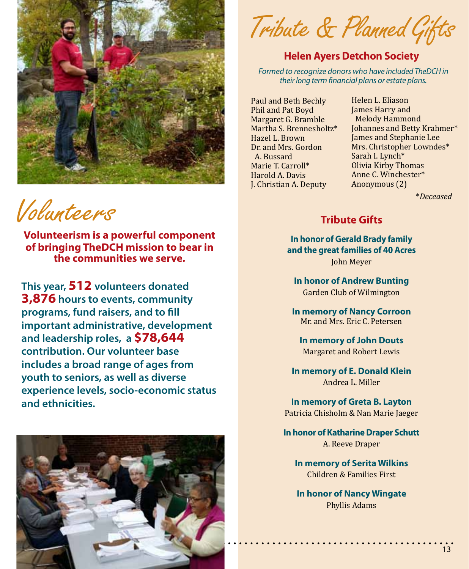

Volunteers

**Volunteerism is a powerful component of bringing TheDCH mission to bear in the communities we serve.** 

**This year, 512 volunteers donated 3,876 hours to events, community programs, fund raisers, and to fill important administrative, development and leadership roles, a \$78,644 contribution. Our volunteer base includes a broad range of ages from youth to seniors, as well as diverse experience levels, socio-economic status and ethnicities.** 



Tribute & Planned Gifts

#### **Helen Ayers Detchon Society**

*Formed to recognize donors who have included TheDCH in their long term financial plans or estate plans.*

Paul and Beth Bechly Phil and Pat Boyd Margaret G. Bramble Martha S. Brennesholtz\* Hazel L. Brown Dr. and Mrs. Gordon A. Bussard Marie T. Carroll\* Harold A. Davis J. Christian A. Deputy

Helen L. Eliason James Harry and Melody Hammond Johannes and Betty Krahmer\* James and Stephanie Lee Mrs. Christopher Lowndes\* Sarah I. Lynch\* Olivia Kirby Thomas Anne C. Winchester\* Anonymous (2)

\**Deceased*

#### **Tribute Gifts**

**In honor of Gerald Brady family and the great families of 40 Acres** John Meyer

**In honor of Andrew Bunting** Garden Club of Wilmington

**In memory of Nancy Corroon** Mr. and Mrs. Eric C. Petersen

**In memory of John Douts** Margaret and Robert Lewis

**In memory of E. Donald Klein** Andrea L. Miller

**In memory of Greta B. Layton** Patricia Chisholm & Nan Marie Jaeger

**In honor of Katharine Draper Schutt** A. Reeve Draper

**In memory of Serita Wilkins** Children & Families First

**In honor of Nancy Wingate** Phyllis Adams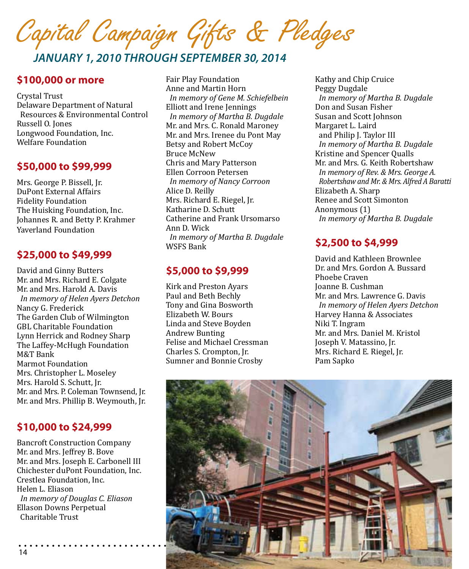

#### *January 1, 2010 through September 30, 2014*

#### **\$100,000 or more**

Crystal Trust Delaware Department of Natural Resources & Environmental Control Russell O. Jones Longwood Foundation, Inc. Welfare Foundation

#### **\$50,000 to \$99,999**

Mrs. George P. Bissell, Jr. DuPont External Affairs Fidelity Foundation The Huisking Foundation, Inc. Johannes R. and Betty P. Krahmer Yaverland Foundation

#### **\$25,000 to \$49,999**

David and Ginny Butters Mr. and Mrs. Richard E. Colgate Mr. and Mrs. Harold A. Davis *In memory of Helen Ayers Detchon* Nancy G. Frederick The Garden Club of Wilmington GBL Charitable Foundation Lynn Herrick and Rodney Sharp The Laffey-McHugh Foundation M&T Bank Marmot Foundation Mrs. Christopher L. Moseley Mrs. Harold S. Schutt, Jr. Mr. and Mrs. P. Coleman Townsend, Jr. Mr. and Mrs. Phillip B. Weymouth, Jr.

#### **\$10,000 to \$24,999**

Bancroft Construction Company Mr. and Mrs. Jeffrey B. Bove Mr. and Mrs. Joseph E. Carbonell III Chichester duPont Foundation, Inc. Crestlea Foundation, Inc. Helen L. Eliason *In memory of Douglas C. Eliason* Ellason Downs Perpetual Charitable Trust

Fair Play Foundation Anne and Martin Horn *In memory of Gene M. Schiefelbein* Elliott and Irene Jennings *In memory of Martha B. Dugdale* Mr. and Mrs. C. Ronald Maroney Mr. and Mrs. Irenee du Pont May Betsy and Robert McCoy Bruce McNew Chris and Mary Patterson Ellen Corroon Petersen *In memory of Nancy Corroon* Alice D. Reilly Mrs. Richard E. Riegel, Jr. Katharine D. Schutt Catherine and Frank Ursomarso Ann D. Wick *In memory of Martha B. Dugdale* WSFS Bank

#### **\$5,000 to \$9,999**

Kirk and Preston Ayars Paul and Beth Bechly Tony and Gina Bosworth Elizabeth W. Bours Linda and Steve Boyden Andrew Bunting Felise and Michael Cressman Charles S. Crompton, Jr. Sumner and Bonnie Crosby

Kathy and Chip Cruice Peggy Dugdale *In memory of Martha B. Dugdale* Don and Susan Fisher Susan and Scott Johnson Margaret L. Laird and Philip J. Taylor III *In memory of Martha B. Dugdale* Kristine and Spencer Qualls Mr. and Mrs. G. Keith Robertshaw *In memory of Rev. & Mrs. George A. Robertshaw and Mr. & Mrs. Alfred A Baratti* Elizabeth A. Sharp Renee and Scott Simonton Anonymous (1) *In memory of Martha B. Dugdale*

#### **\$2,500 to \$4,999**

David and Kathleen Brownlee Dr. and Mrs. Gordon A. Bussard Phoebe Craven Joanne B. Cushman Mr. and Mrs. Lawrence G. Davis *In memory of Helen Ayers Detchon* Harvey Hanna & Associates Niki T. Ingram Mr. and Mrs. Daniel M. Kristol Joseph V. Matassino, Jr. Mrs. Richard E. Riegel, Jr. Pam Sapko

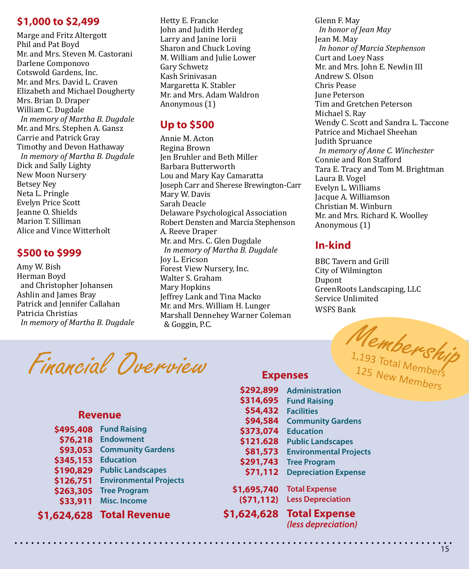#### **\$1,000 to \$2,499**

Marge and Fritz Altergott Phil and Pat Boyd Mr. and Mrs. Steven M. Castorani Darlene Componovo Cotswold Gardens, Inc. Mr. and Mrs. David L. Craven Elizabeth and Michael Dougherty Mrs. Brian D. Draper William C. Dugdale *In memory of Martha B. Dugdale* Mr. and Mrs. Stephen A. Gansz Carrie and Patrick Gray Timothy and Devon Hathaway *In memory of Martha B. Dugdale* Dick and Sally Lighty New Moon Nursery Betsey Ney Neta L. Pringle Evelyn Price Scott Jeanne O. Shields Marion T. Silliman Alice and Vince Witterholt

#### **\$500 to \$999**

Amy W. Bish Herman Boyd and Christopher Johansen Ashlin and James Bray Patrick and Jennifer Callahan Patricia Christias *In memory of Martha B. Dugdale*

Hetty E. Francke John and Judith Herdeg Larry and Janine Iorii Sharon and Chuck Loving M. William and Julie Lower Gary Schwetz Kash Srinivasan Margaretta K. Stabler Mr. and Mrs. Adam Waldron Anonymous (1)

#### **Up to \$500**

Annie M. Acton Regina Brown Jen Bruhler and Beth Miller Barbara Butterworth Lou and Mary Kay Camaratta Joseph Carr and Sherese Brewington-Carr Mary W. Davis Sarah Deacle Delaware Psychological Association Robert Densten and Marcia Stephenson A. Reeve Draper Mr. and Mrs. C. Glen Dugdale *In memory of Martha B. Dugdale* Joy L. Ericson Forest View Nursery, Inc. Walter S. Graham Mary Hopkins Jeffrey Lank and Tina Macko Mr. and Mrs. William H. Lunger Marshall Dennehey Warner Coleman & Goggin, P.C.

**\$1,695,740**

Glenn F. May *In honor of Jean May* Jean M. May *In honor of Marcia Stephenson* Curt and Loey Nass Mr. and Mrs. John E. Newlin III Andrew S. Olson Chris Pease June Peterson Tim and Gretchen Peterson Michael S. Ray Wendy C. Scott and Sandra L. Taccone Patrice and Michael Sheehan Judith Spruance *In memory of Anne C. Winchester* Connie and Ron Stafford Tara E. Tracy and Tom M. Brightman Laura B. Vogel Evelyn L. Williams Jacque A. Williamson Christian M. Winburn Mr. and Mrs. Richard K. Woolley Anonymous (1)

#### **In-kind**

BBC Tavern and Grill City of Wilmington Dupont GreenRoots Landscaping, LLC Service Unlimited WSFS Bank

Financial Overview

#### **Revenue**

| \$495,408 | <b>Fund Raising</b>           |
|-----------|-------------------------------|
| \$76,218  | <b>Endowment</b>              |
| \$93,053  | <b>Community Gardens</b>      |
| \$345,153 | <b>Education</b>              |
| \$190,829 | <b>Public Landscapes</b>      |
| \$126,751 | <b>Environmental Projects</b> |
| \$263,305 | <b>Tree Program</b>           |
| \$33,911  | Misc. Income                  |
|           |                               |

**Total Revenue \$1,624,628**

|            | Members<br>1,193 Total Mem<br>125 New Members<br><b>Expenses</b> |
|------------|------------------------------------------------------------------|
| \$292,899  | <b>Administration</b>                                            |
| \$314,695  | <b>Fund Raising</b>                                              |
| \$54,432   | <b>Facilities</b>                                                |
| \$94,584   | <b>Community Gardens</b>                                         |
| \$373,074  | <b>Education</b>                                                 |
| \$121.628  | <b>Public Landscapes</b>                                         |
| \$81,573   | <b>Environmental Projects</b>                                    |
| \$291,743  | <b>Tree Program</b>                                              |
| \$71,112   | <b>Depreciation Expense</b>                                      |
| 1,695,740  | <b>Total Expense</b>                                             |
| (571, 112) | <b>Less Depreciation</b>                                         |
|            |                                                                  |

**Total Expense \$1,624,628***(less depreciation)*